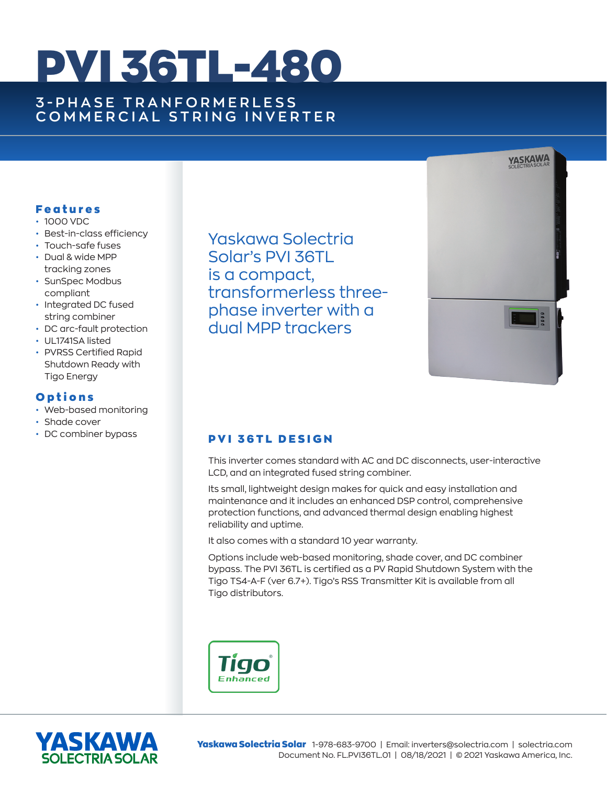# PVI 36TL-480

# **3 - P H A S E T R A N F O R M E R L E S S COMMERCIAL STRING INVERTER**

#### Features

- 1000 VDC
- Best-in-class efficiency
- Touch-safe fuses
- Dual & wide MPP tracking zones
- SunSpec Modbus compliant
- Integrated DC fused string combiner
- DC arc-fault protection
- UL1741SA listed
- PVRSS Certified Rapid Shutdown Ready with Tigo Energy

### **Options**

- Web-based monitoring
- Shade cover
- DC combiner bypass

Yaskawa Solectria Solar's PVI 36TL is a compact, transformerless threephase inverter with a dual MPP trackers



## PVI 36TL DESIGN

This inverter comes standard with AC and DC disconnects, user-interactive LCD, and an integrated fused string combiner.

Its small, lightweight design makes for quick and easy installation and maintenance and it includes an enhanced DSP control, comprehensive protection functions, and advanced thermal design enabling highest reliability and uptime.

It also comes with a standard 10 year warranty.

Options include web-based monitoring, shade cover, and DC combiner bypass. The PVI 36TL is certified as a PV Rapid Shutdown System with the Tigo TS4-A-F (ver 6.7+). Tigo's RSS Transmitter Kit is available from all Tigo distributors.





Yaskawa Solectria Solar 1-978-683-9700 | Email: inverters@solectria.com | solectria.com Document No. FL.PVI36TL.01 | 08/18/2021 | © 2021 Yaskawa America, Inc.